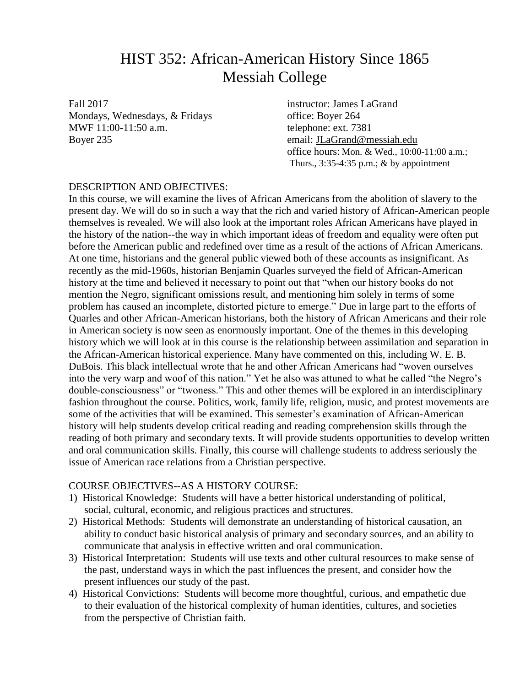## HIST 352: African-American History Since 1865 Messiah College

Fall 2017 **instructor:** James LaGrand Mondays, Wednesdays, & Fridays office: Boyer 264 MWF 11:00-11:50 a.m. telephone: ext. 7381 Boyer 235 email: [JLaGrand@messiah.edu](mailto:JLaGrand@messiah.edu)

office hours: Mon. & Wed., 10:00-11:00 a.m.; Thurs., 3:35-4:35 p.m.; & by appointment

#### DESCRIPTION AND OBJECTIVES:

In this course, we will examine the lives of African Americans from the abolition of slavery to the present day. We will do so in such a way that the rich and varied history of African-American people themselves is revealed. We will also look at the important roles African Americans have played in the history of the nation--the way in which important ideas of freedom and equality were often put before the American public and redefined over time as a result of the actions of African Americans. At one time, historians and the general public viewed both of these accounts as insignificant. As recently as the mid-1960s, historian Benjamin Quarles surveyed the field of African-American history at the time and believed it necessary to point out that "when our history books do not mention the Negro, significant omissions result, and mentioning him solely in terms of some problem has caused an incomplete, distorted picture to emerge." Due in large part to the efforts of Quarles and other African-American historians, both the history of African Americans and their role in American society is now seen as enormously important. One of the themes in this developing history which we will look at in this course is the relationship between assimilation and separation in the African-American historical experience. Many have commented on this, including W. E. B. DuBois. This black intellectual wrote that he and other African Americans had "woven ourselves into the very warp and woof of this nation." Yet he also was attuned to what he called "the Negro's double-consciousness" or "twoness." This and other themes will be explored in an interdisciplinary fashion throughout the course. Politics, work, family life, religion, music, and protest movements are some of the activities that will be examined. This semester's examination of African-American history will help students develop critical reading and reading comprehension skills through the reading of both primary and secondary texts. It will provide students opportunities to develop written and oral communication skills. Finally, this course will challenge students to address seriously the issue of American race relations from a Christian perspective.

#### COURSE OBJECTIVES--AS A HISTORY COURSE:

- 1) Historical Knowledge: Students will have a better historical understanding of political, social, cultural, economic, and religious practices and structures.
- 2) Historical Methods: Students will demonstrate an understanding of historical causation, an ability to conduct basic historical analysis of primary and secondary sources, and an ability to communicate that analysis in effective written and oral communication.
- 3) Historical Interpretation: Students will use texts and other cultural resources to make sense of the past, understand ways in which the past influences the present, and consider how the present influences our study of the past.
- 4) Historical Convictions: Students will become more thoughtful, curious, and empathetic due to their evaluation of the historical complexity of human identities, cultures, and societies from the perspective of Christian faith.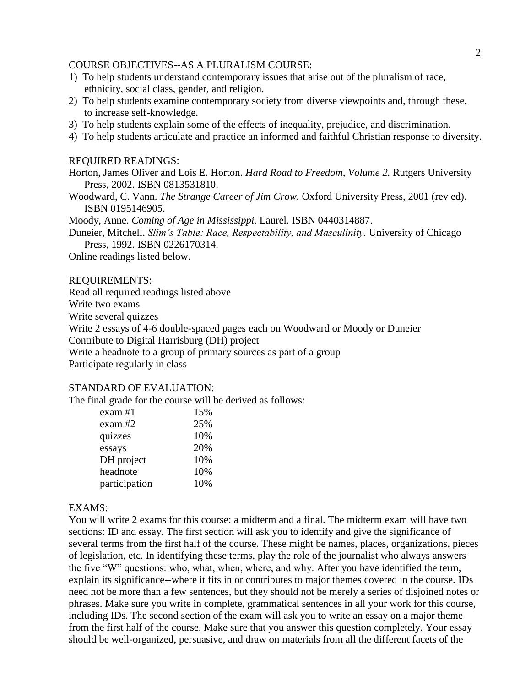#### COURSE OBJECTIVES--AS A PLURALISM COURSE:

- 1) To help students understand contemporary issues that arise out of the pluralism of race, ethnicity, social class, gender, and religion.
- 2) To help students examine contemporary society from diverse viewpoints and, through these, to increase self-knowledge.
- 3) To help students explain some of the effects of inequality, prejudice, and discrimination.
- 4) To help students articulate and practice an informed and faithful Christian response to diversity.

#### REQUIRED READINGS:

- Horton, James Oliver and Lois E. Horton. *Hard Road to Freedom, Volume 2.* Rutgers University Press, 2002. ISBN 0813531810.
- Woodward, C. Vann. *The Strange Career of Jim Crow.* Oxford University Press, 2001 (rev ed). ISBN 0195146905.

Moody, Anne. *Coming of Age in Mississippi.* Laurel. ISBN 0440314887.

Duneier, Mitchell. *Slim's Table: Race, Respectability, and Masculinity.* University of Chicago Press, 1992. ISBN 0226170314.

Online readings listed below.

#### REQUIREMENTS:

Read all required readings listed above

Write two exams

Write several quizzes

Write 2 essays of 4-6 double-spaced pages each on Woodward or Moody or Duneier

Contribute to Digital Harrisburg (DH) project

Write a headnote to a group of primary sources as part of a group

Participate regularly in class

#### STANDARD OF EVALUATION:

The final grade for the course will be derived as follows:

| exam #1       | 15% |
|---------------|-----|
| exam #2       | 25% |
| quizzes       | 10% |
| essays        | 20% |
| DH project    | 10% |
| headnote      | 10% |
| participation | 10% |
|               |     |

#### EXAMS:

You will write 2 exams for this course: a midterm and a final. The midterm exam will have two sections: ID and essay. The first section will ask you to identify and give the significance of several terms from the first half of the course. These might be names, places, organizations, pieces of legislation, etc. In identifying these terms, play the role of the journalist who always answers the five "W" questions: who, what, when, where, and why. After you have identified the term, explain its significance--where it fits in or contributes to major themes covered in the course. IDs need not be more than a few sentences, but they should not be merely a series of disjoined notes or phrases. Make sure you write in complete, grammatical sentences in all your work for this course, including IDs. The second section of the exam will ask you to write an essay on a major theme from the first half of the course. Make sure that you answer this question completely. Your essay should be well-organized, persuasive, and draw on materials from all the different facets of the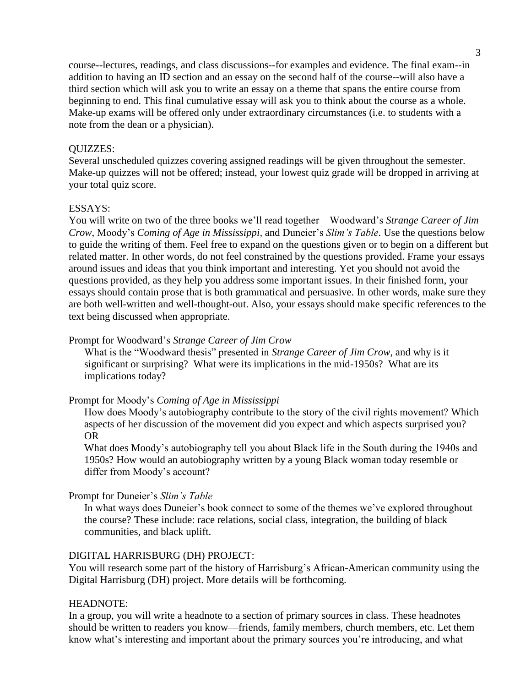course--lectures, readings, and class discussions--for examples and evidence. The final exam--in addition to having an ID section and an essay on the second half of the course--will also have a third section which will ask you to write an essay on a theme that spans the entire course from beginning to end. This final cumulative essay will ask you to think about the course as a whole. Make-up exams will be offered only under extraordinary circumstances (i.e. to students with a note from the dean or a physician).

#### QUIZZES:

Several unscheduled quizzes covering assigned readings will be given throughout the semester. Make-up quizzes will not be offered; instead, your lowest quiz grade will be dropped in arriving at your total quiz score.

#### ESSAYS:

You will write on two of the three books we'll read together—Woodward's *Strange Career of Jim Crow*, Moody's *Coming of Age in Mississippi,* and Duneier's *Slim's Table*. Use the questions below to guide the writing of them. Feel free to expand on the questions given or to begin on a different but related matter. In other words, do not feel constrained by the questions provided. Frame your essays around issues and ideas that you think important and interesting. Yet you should not avoid the questions provided, as they help you address some important issues. In their finished form, your essays should contain prose that is both grammatical and persuasive. In other words, make sure they are both well-written and well-thought-out. Also, your essays should make specific references to the text being discussed when appropriate.

#### Prompt for Woodward's *Strange Career of Jim Crow*

What is the "Woodward thesis" presented in *Strange Career of Jim Crow*, and why is it significant or surprising? What were its implications in the mid-1950s? What are its implications today?

#### Prompt for Moody's *Coming of Age in Mississippi*

How does Moody's autobiography contribute to the story of the civil rights movement? Which aspects of her discussion of the movement did you expect and which aspects surprised you? OR

What does Moody's autobiography tell you about Black life in the South during the 1940s and 1950s? How would an autobiography written by a young Black woman today resemble or differ from Moody's account?

#### Prompt for Duneier's *Slim's Table*

In what ways does Duneier's book connect to some of the themes we've explored throughout the course? These include: race relations, social class, integration, the building of black communities, and black uplift.

#### DIGITAL HARRISBURG (DH) PROJECT:

You will research some part of the history of Harrisburg's African-American community using the Digital Harrisburg (DH) project. More details will be forthcoming.

#### HEADNOTE:

In a group, you will write a headnote to a section of primary sources in class. These headnotes should be written to readers you know—friends, family members, church members, etc. Let them know what's interesting and important about the primary sources you're introducing, and what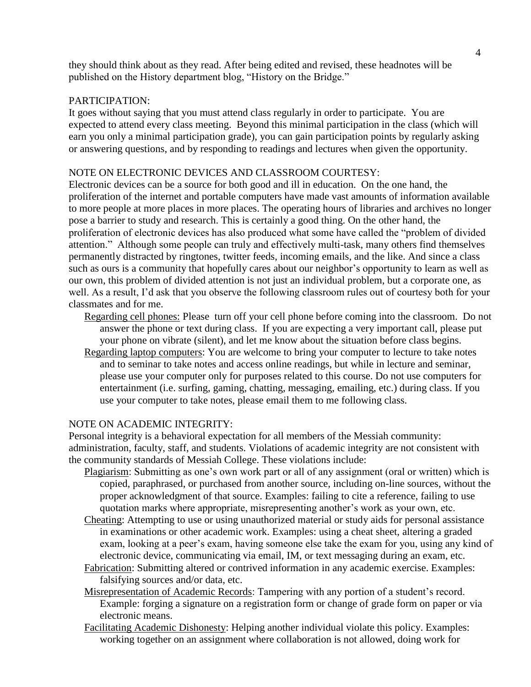they should think about as they read. After being edited and revised, these headnotes will be published on the History department blog, "History on the Bridge."

#### PARTICIPATION:

It goes without saying that you must attend class regularly in order to participate. You are expected to attend every class meeting. Beyond this minimal participation in the class (which will earn you only a minimal participation grade), you can gain participation points by regularly asking or answering questions, and by responding to readings and lectures when given the opportunity.

#### NOTE ON ELECTRONIC DEVICES AND CLASSROOM COURTESY:

Electronic devices can be a source for both good and ill in education. On the one hand, the proliferation of the internet and portable computers have made vast amounts of information available to more people at more places in more places. The operating hours of libraries and archives no longer pose a barrier to study and research. This is certainly a good thing. On the other hand, the proliferation of electronic devices has also produced what some have called the "problem of divided attention." Although some people can truly and effectively multi-task, many others find themselves permanently distracted by ringtones, twitter feeds, incoming emails, and the like. And since a class such as ours is a community that hopefully cares about our neighbor's opportunity to learn as well as our own, this problem of divided attention is not just an individual problem, but a corporate one, as well. As a result, I'd ask that you observe the following classroom rules out of courtesy both for your classmates and for me.

- Regarding cell phones: Please turn off your cell phone before coming into the classroom. Do not answer the phone or text during class. If you are expecting a very important call, please put your phone on vibrate (silent), and let me know about the situation before class begins.
- Regarding laptop computers: You are welcome to bring your computer to lecture to take notes and to seminar to take notes and access online readings, but while in lecture and seminar, please use your computer only for purposes related to this course. Do not use computers for entertainment (i.e. surfing, gaming, chatting, messaging, emailing, etc.) during class. If you use your computer to take notes, please email them to me following class.

#### NOTE ON ACADEMIC INTEGRITY:

Personal integrity is a behavioral expectation for all members of the Messiah community: administration, faculty, staff, and students. Violations of academic integrity are not consistent with the community standards of Messiah College. These violations include:

- Plagiarism: Submitting as one's own work part or all of any assignment (oral or written) which is copied, paraphrased, or purchased from another source, including on-line sources, without the proper acknowledgment of that source. Examples: failing to cite a reference, failing to use quotation marks where appropriate, misrepresenting another's work as your own, etc.
- Cheating: Attempting to use or using unauthorized material or study aids for personal assistance in examinations or other academic work. Examples: using a cheat sheet, altering a graded exam, looking at a peer's exam, having someone else take the exam for you, using any kind of electronic device, communicating via email, IM, or text messaging during an exam, etc.
- Fabrication: Submitting altered or contrived information in any academic exercise. Examples: falsifying sources and/or data, etc.
- Misrepresentation of Academic Records: Tampering with any portion of a student's record. Example: forging a signature on a registration form or change of grade form on paper or via electronic means.
- Facilitating Academic Dishonesty: Helping another individual violate this policy. Examples: working together on an assignment where collaboration is not allowed, doing work for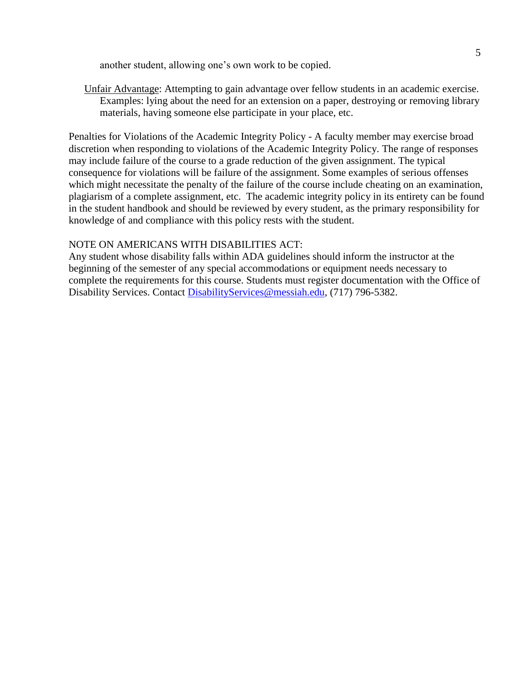another student, allowing one's own work to be copied.

Unfair Advantage: Attempting to gain advantage over fellow students in an academic exercise. Examples: lying about the need for an extension on a paper, destroying or removing library materials, having someone else participate in your place, etc.

Penalties for Violations of the Academic Integrity Policy - A faculty member may exercise broad discretion when responding to violations of the Academic Integrity Policy. The range of responses may include failure of the course to a grade reduction of the given assignment. The typical consequence for violations will be failure of the assignment. Some examples of serious offenses which might necessitate the penalty of the failure of the course include cheating on an examination, plagiarism of a complete assignment, etc. The academic integrity policy in its entirety can be found in the student handbook and should be reviewed by every student, as the primary responsibility for knowledge of and compliance with this policy rests with the student.

#### NOTE ON AMERICANS WITH DISABILITIES ACT:

Any student whose disability falls within ADA guidelines should inform the instructor at the beginning of the semester of any special accommodations or equipment needs necessary to complete the requirements for this course. Students must register documentation with the Office of Disability Services. Contact [DisabilityServices@messiah.edu,](mailto:DisabilityServices@messiah.edu) (717) 796-5382.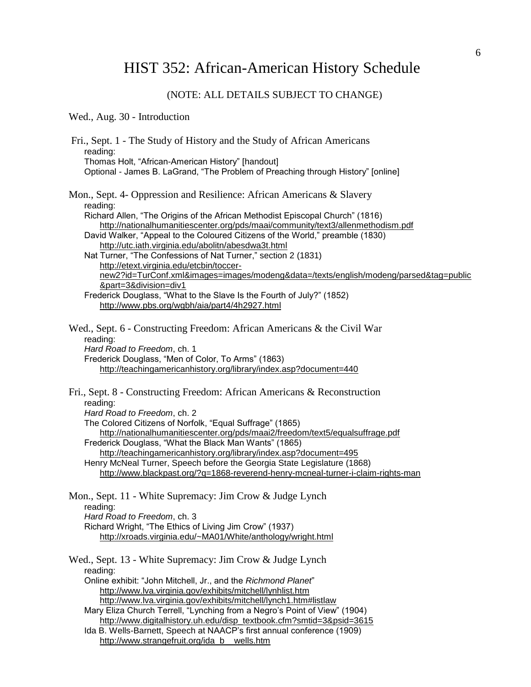# HIST 352: African-American History Schedule

## (NOTE: ALL DETAILS SUBJECT TO CHANGE)

### Wed., Aug. 30 - Introduction

| Fri., Sept. 1 - The Study of History and the Study of African Americans<br>reading:<br>Thomas Holt, "African-American History" [handout]<br>Optional - James B. LaGrand, "The Problem of Preaching through History" [online]                                                                                                                                                                                                                                                                                                                                                                                                                                                                                                                       |
|----------------------------------------------------------------------------------------------------------------------------------------------------------------------------------------------------------------------------------------------------------------------------------------------------------------------------------------------------------------------------------------------------------------------------------------------------------------------------------------------------------------------------------------------------------------------------------------------------------------------------------------------------------------------------------------------------------------------------------------------------|
| Mon., Sept. 4- Oppression and Resilience: African Americans & Slavery<br>reading:<br>Richard Allen, "The Origins of the African Methodist Episcopal Church" (1816)<br>http://nationalhumanitiescenter.org/pds/maai/community/text3/allenmethodism.pdf<br>David Walker, "Appeal to the Coloured Citizens of the World," preamble (1830)<br>http://utc.iath.virginia.edu/abolitn/abesdwa3t.html<br>Nat Turner, "The Confessions of Nat Turner," section 2 (1831)<br>http://etext.virginia.edu/etcbin/toccer-<br>new2?id=TurConf.xml&images=images/modeng&data=/texts/english/modeng/parsed&tag=public<br>∂=3&division=div1<br>Frederick Douglass, "What to the Slave Is the Fourth of July?" (1852)<br>http://www.pbs.org/wgbh/aia/part4/4h2927.html |
| Wed., Sept. 6 - Constructing Freedom: African Americans & the Civil War<br>reading:<br>Hard Road to Freedom, ch. 1<br>Frederick Douglass, "Men of Color, To Arms" (1863)<br>http://teachingamericanhistory.org/library/index.asp?document=440                                                                                                                                                                                                                                                                                                                                                                                                                                                                                                      |
| Fri., Sept. 8 - Constructing Freedom: African Americans & Reconstruction<br>reading:<br>Hard Road to Freedom, ch. 2<br>The Colored Citizens of Norfolk, "Equal Suffrage" (1865)<br>http://nationalhumanitiescenter.org/pds/maai2/freedom/text5/equalsuffrage.pdf<br>Frederick Douglass, "What the Black Man Wants" (1865)<br>http://teachingamericanhistory.org/library/index.asp?document=495<br>Henry McNeal Turner, Speech before the Georgia State Legislature (1868)<br>http://www.blackpast.org/?q=1868-reverend-henry-mcneal-turner-i-claim-rights-man                                                                                                                                                                                      |
| Mon., Sept. 11 - White Supremacy: Jim Crow & Judge Lynch<br>reading:<br>Hard Road to Freedom, ch. 3<br>Richard Wright, "The Ethics of Living Jim Crow" (1937)<br>http://xroads.virginia.edu/~MA01/White/anthology/wright.html                                                                                                                                                                                                                                                                                                                                                                                                                                                                                                                      |
| Wed., Sept. 13 - White Supremacy: Jim Crow & Judge Lynch<br>reading:<br>Online exhibit: "John Mitchell, Jr., and the Richmond Planet"<br>http://www.lva.virginia.gov/exhibits/mitchell/lynhlist.htm<br>http://www.lva.virginia.gov/exhibits/mitchell/lynch1.htm#listlaw<br>Mary Eliza Church Terrell, "Lynching from a Negro's Point of View" (1904)<br>http://www.digitalhistory.uh.edu/disp_textbook.cfm?smtid=3&psid=3615<br>Ida B. Wells-Barnett, Speech at NAACP's first annual conference (1909)<br>http://www.strangefruit.org/ida_b__wells.htm                                                                                                                                                                                             |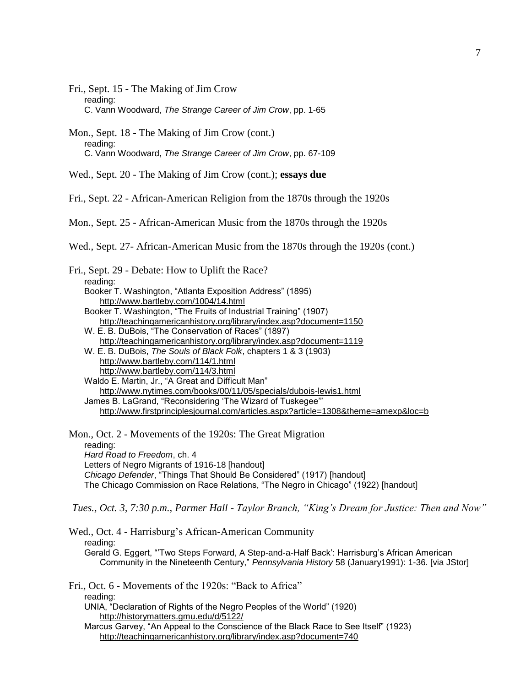Fri., Sept. 15 - The Making of Jim Crow reading: C. Vann Woodward, *The Strange Career of Jim Crow*, pp. 1-65

Mon., Sept. 18 - The Making of Jim Crow (cont.) reading: C. Vann Woodward, *The Strange Career of Jim Crow*, pp. 67-109

Wed., Sept. 20 - The Making of Jim Crow (cont.); **essays due**

Fri., Sept. 22 - African-American Religion from the 1870s through the 1920s

Mon., Sept. 25 - African-American Music from the 1870s through the 1920s

Wed., Sept. 27- African-American Music from the 1870s through the 1920s (cont.)

| Fri., Sept. 29 - Debate: How to Uplift the Race?                                   |
|------------------------------------------------------------------------------------|
| reading:                                                                           |
| Booker T. Washington, "Atlanta Exposition Address" (1895)                          |
| http://www.bartleby.com/1004/14.html                                               |
| Booker T. Washington, "The Fruits of Industrial Training" (1907)                   |
| http://teachingamericanhistory.org/library/index.asp?document=1150                 |
| W. E. B. DuBois, "The Conservation of Races" (1897)                                |
| http://teachingamericanhistory.org/library/index.asp?document=1119                 |
| W. E. B. DuBois, The Souls of Black Folk, chapters 1 & 3 (1903)                    |
| http://www.bartleby.com/114/1.html                                                 |
| http://www.bartleby.com/114/3.html                                                 |
| Waldo E. Martin, Jr., "A Great and Difficult Man"                                  |
| http://www.nytimes.com/books/00/11/05/specials/dubois-lewis1.html                  |
| James B. LaGrand, "Reconsidering 'The Wizard of Tuskegee"                          |
| http://www.firstprinciplesjournal.com/articles.aspx?article=1308&theme=amexp&loc=b |
|                                                                                    |

Mon., Oct. 2 - Movements of the 1920s: The Great Migration reading: *Hard Road to Freedom*, ch. 4 Letters of Negro Migrants of 1916-18 [handout] *Chicago Defender*, "Things That Should Be Considered" (1917) [handout] The Chicago Commission on Race Relations, "The Negro in Chicago" (1922) [handout]

*Tues., Oct. 3, 7:30 p.m., Parmer Hall - Taylor Branch, "King's Dream for Justice: Then and Now"*

Wed., Oct. 4 - Harrisburg's African-American Community reading: Gerald G. Eggert, "'Two Steps Forward, A Step-and-a-Half Back': Harrisburg's African American Community in the Nineteenth Century," *Pennsylvania History* 58 (January1991): 1-36. [via JStor]

Fri., Oct. 6 - Movements of the 1920s: "Back to Africa" reading: UNIA, "Declaration of Rights of the Negro Peoples of the World" (1920) <http://historymatters.gmu.edu/d/5122/> Marcus Garvey, "An Appeal to the Conscience of the Black Race to See Itself" (1923) <http://teachingamericanhistory.org/library/index.asp?document=740>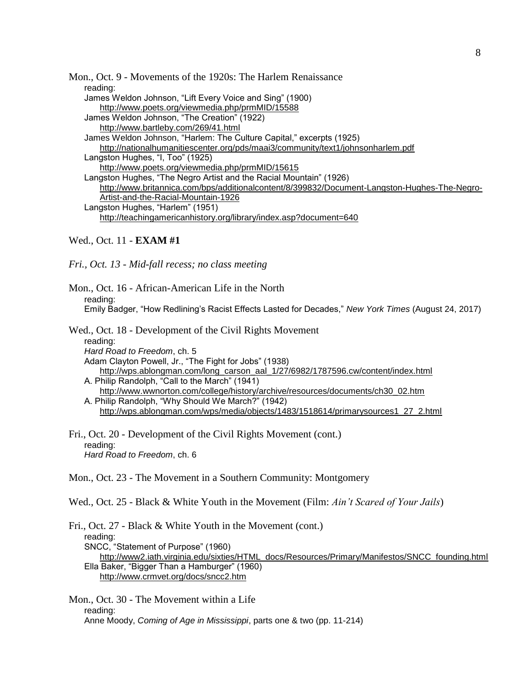Mon., Oct. 9 - Movements of the 1920s: The Harlem Renaissance reading: James Weldon Johnson, "Lift Every Voice and Sing" (1900) <http://www.poets.org/viewmedia.php/prmMID/15588> James Weldon Johnson, "The Creation" (1922) <http://www.bartleby.com/269/41.html> James Weldon Johnson, "Harlem: The Culture Capital," excerpts (1925) <http://nationalhumanitiescenter.org/pds/maai3/community/text1/johnsonharlem.pdf> Langston Hughes, "I, Too" (1925) <http://www.poets.org/viewmedia.php/prmMID/15615> Langston Hughes, "The Negro Artist and the Racial Mountain" (1926) [http://www.britannica.com/bps/additionalcontent/8/399832/Document-Langston-Hughes-The-Negro-](http://www.britannica.com/bps/additionalcontent/8/399832/Document-Langston-Hughes-The-Negro-Artist-and-the-Racial-Mountain-1926)[Artist-and-the-Racial-Mountain-1926](http://www.britannica.com/bps/additionalcontent/8/399832/Document-Langston-Hughes-The-Negro-Artist-and-the-Racial-Mountain-1926) Langston Hughes, "Harlem" (1951) <http://teachingamericanhistory.org/library/index.asp?document=640>

#### Wed., Oct. 11 - **EXAM #1**

*Fri., Oct. 13 - Mid-fall recess; no class meeting*

Mon., Oct. 16 - African-American Life in the North reading: Emily Badger, "How Redlining's Racist Effects Lasted for Decades," *New York Times* (August 24, 2017)

Wed., Oct. 18 - Development of the Civil Rights Movement

reading: *Hard Road to Freedom*, ch. 5 Adam Clayton Powell, Jr., "The Fight for Jobs" (1938) [http://wps.ablongman.com/long\\_carson\\_aal\\_1/27/6982/1787596.cw/content/index.html](http://wps.ablongman.com/long_carson_aal_1/27/6982/1787596.cw/content/index.html) A. Philip Randolph, "Call to the March" (1941)

[http://www.wwnorton.com/college/history/archive/resources/documents/ch30\\_02.htm](http://www.wwnorton.com/college/history/archive/resources/documents/ch30_02.htm) A. Philip Randolph, "Why Should We March?" (1942)

[http://wps.ablongman.com/wps/media/objects/1483/1518614/primarysources1\\_27\\_2.html](http://wps.ablongman.com/wps/media/objects/1483/1518614/primarysources1_27_2.html)

Fri., Oct. 20 - Development of the Civil Rights Movement (cont.) reading: *Hard Road to Freedom*, ch. 6

Mon., Oct. 23 - The Movement in a Southern Community: Montgomery

Wed., Oct. 25 - Black & White Youth in the Movement (Film: *Ain't Scared of Your Jails*)

Fri., Oct. 27 - Black & White Youth in the Movement (cont.) reading: SNCC, "Statement of Purpose" (1960) [http://www2.iath.virginia.edu/sixties/HTML\\_docs/Resources/Primary/Manifestos/SNCC\\_founding.html](http://www2.iath.virginia.edu/sixties/HTML_docs/Resources/Primary/Manifestos/SNCC_founding.html) Ella Baker, "Bigger Than a Hamburger" (1960) <http://www.crmvet.org/docs/sncc2.htm>

Mon., Oct. 30 - The Movement within a Life reading: Anne Moody, *Coming of Age in Mississippi*, parts one & two (pp. 11-214)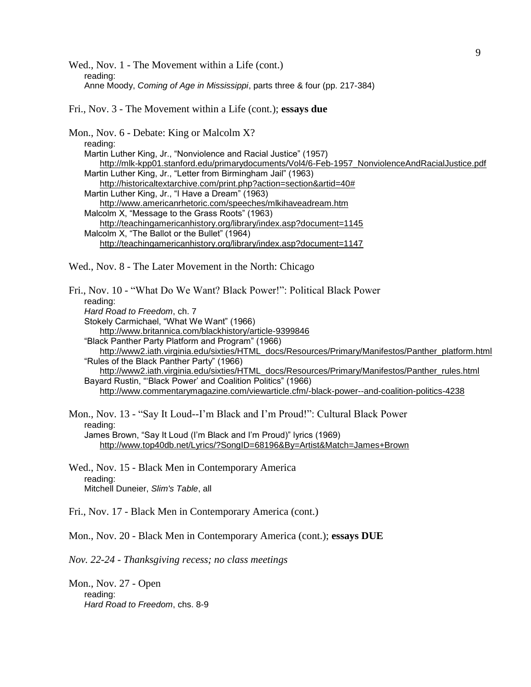Wed., Nov. 1 - The Movement within a Life (cont.) reading: Anne Moody, *Coming of Age in Mississippi*, parts three & four (pp. 217-384)

Fri., Nov. 3 - The Movement within a Life (cont.); **essays due**

Mon., Nov. 6 - Debate: King or Malcolm X? reading: Martin Luther King, Jr., "Nonviolence and Racial Justice" (1957) [http://mlk-kpp01.stanford.edu/primarydocuments/Vol4/6-Feb-1957\\_NonviolenceAndRacialJustice.pdf](http://mlk-kpp01.stanford.edu/primarydocuments/Vol4/6-Feb-1957_NonviolenceAndRacialJustice.pdf) Martin Luther King, Jr., "Letter from Birmingham Jail" (1963) [http://historicaltextarchive.com/print.php?action=section&artid=40#](http://historicaltextarchive.com/print.php?action=section&artid=40) Martin Luther King, Jr., "I Have a Dream" (1963) <http://www.americanrhetoric.com/speeches/mlkihaveadream.htm> Malcolm X, "Message to the Grass Roots" (1963) <http://teachingamericanhistory.org/library/index.asp?document=1145> Malcolm X, "The Ballot or the Bullet" (1964) <http://teachingamericanhistory.org/library/index.asp?document=1147> Wed., Nov. 8 - The Later Movement in the North: Chicago Fri., Nov. 10 - "What Do We Want? Black Power!": Political Black Power reading: *Hard Road to Freedom*, ch. 7 Stokely Carmichael, "What We Want" (1966) <http://www.britannica.com/blackhistory/article-9399846> "Black Panther Party Platform and Program" (1966) [http://www2.iath.virginia.edu/sixties/HTML\\_docs/Resources/Primary/Manifestos/Panther\\_platform.html](http://www2.iath.virginia.edu/sixties/HTML_docs/Resources/Primary/Manifestos/Panther_platform.html) "Rules of the Black Panther Party" (1966) [http://www2.iath.virginia.edu/sixties/HTML\\_docs/Resources/Primary/Manifestos/Panther\\_rules.html](http://www2.iath.virginia.edu/sixties/HTML_docs/Resources/Primary/Manifestos/Panther_rules.html) Bayard Rustin, "'Black Power' and Coalition Politics" (1966) <http://www.commentarymagazine.com/viewarticle.cfm/-black-power--and-coalition-politics-4238> Mon., Nov. 13 - "Say It Loud--I'm Black and I'm Proud!": Cultural Black Power reading: James Brown, "Say It Loud (I'm Black and I'm Proud)" lyrics (1969) <http://www.top40db.net/Lyrics/?SongID=68196&By=Artist&Match=James+Brown> Wed., Nov. 15 - Black Men in Contemporary America reading: Mitchell Duneier, *Slim's Table*, all Fri., Nov. 17 - Black Men in Contemporary America (cont.) Mon., Nov. 20 - Black Men in Contemporary America (cont.); **essays DUE** *Nov. 22-24 - Thanksgiving recess; no class meetings* Mon., Nov. 27 - Open

reading: *Hard Road to Freedom*, chs. 8-9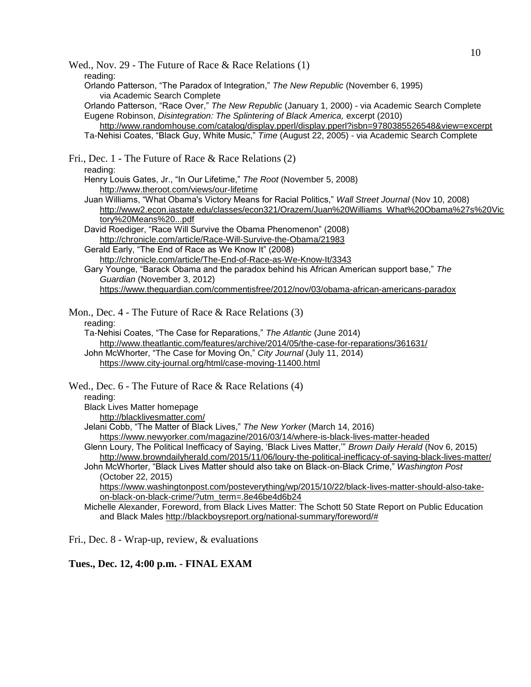10 Wed., Nov. 29 - The Future of Race & Race Relations (1) reading: Orlando Patterson, "The Paradox of Integration," *The New Republic* (November 6, 1995) via Academic Search Complete Orlando Patterson, "Race Over," *The New Republic* (January 1, 2000) - via Academic Search Complete Eugene Robinson, *Disintegration: The Splintering of Black America,* excerpt (2010) <http://www.randomhouse.com/catalog/display.pperl/display.pperl?isbn=9780385526548&view=excerpt> Ta-Nehisi Coates, "Black Guy, White Music," *Time* (August 22, 2005) - via Academic Search Complete Fri., Dec. 1 - The Future of Race & Race Relations (2) reading: Henry Louis Gates, Jr., "In Our Lifetime," *The Root* (November 5, 2008) <http://www.theroot.com/views/our-lifetime> Juan Williams, "What Obama's Victory Means for Racial Politics," *Wall Street Journal* (Nov 10, 2008) [http://www2.econ.iastate.edu/classes/econ321/Orazem/Juan%20Williams\\_What%20Obama%27s%20Vic](http://www2.econ.iastate.edu/classes/econ321/Orazem/Juan%20Williams_What%20Obama%27s%20Victory%20Means%20...pdf) [tory%20Means%20...pdf](http://www2.econ.iastate.edu/classes/econ321/Orazem/Juan%20Williams_What%20Obama%27s%20Victory%20Means%20...pdf) David Roediger, "Race Will Survive the Obama Phenomenon" (2008) <http://chronicle.com/article/Race-Will-Survive-the-Obama/21983> Gerald Early, "The End of Race as We Know It" (2008) <http://chronicle.com/article/The-End-of-Race-as-We-Know-It/3343> Gary Younge, "Barack Obama and the paradox behind his African American support base," *The Guardian* (November 3, 2012) <https://www.theguardian.com/commentisfree/2012/nov/03/obama-african-americans-paradox> Mon., Dec. 4 - The Future of Race & Race Relations (3) reading: Ta-Nehisi Coates, "The Case for Reparations," *The Atlantic* (June 2014) <http://www.theatlantic.com/features/archive/2014/05/the-case-for-reparations/361631/> John McWhorter, "The Case for Moving On," *City Journal* (July 11, 2014) <https://www.city-journal.org/html/case-moving-11400.html> Wed., Dec. 6 - The Future of Race & Race Relations (4) reading: Black Lives Matter homepage <http://blacklivesmatter.com/> Jelani Cobb, "The Matter of Black Lives," *The New Yorker* (March 14, 2016) <https://www.newyorker.com/magazine/2016/03/14/where-is-black-lives-matter-headed> Glenn Loury, The Political Inefficacy of Saying, 'Black Lives Matter,'" *Brown Daily Herald* (Nov 6, 2015) <http://www.browndailyherald.com/2015/11/06/loury-the-political-inefficacy-of-saying-black-lives-matter/> John McWhorter, "Black Lives Matter should also take on Black-on-Black Crime," *Washington Post* (October 22, 2015) [https://www.washingtonpost.com/posteverything/wp/2015/10/22/black-lives-matter-should-also-take](https://www.washingtonpost.com/posteverything/wp/2015/10/22/black-lives-matter-should-also-take-on-black-on-black-crime/?utm_term=.8e46be4d6b24)[on-black-on-black-crime/?utm\\_term=.8e46be4d6b24](https://www.washingtonpost.com/posteverything/wp/2015/10/22/black-lives-matter-should-also-take-on-black-on-black-crime/?utm_term=.8e46be4d6b24) Michelle Alexander, Foreword, from Black Lives Matter: The Schott 50 State Report on Public Education and Black Males [http://blackboysreport.org/national-summary/foreword/#](http://blackboysreport.org/national-summary/foreword/)

Fri., Dec. 8 - Wrap-up, review, & evaluations

**Tues., Dec. 12, 4:00 p.m. - FINAL EXAM**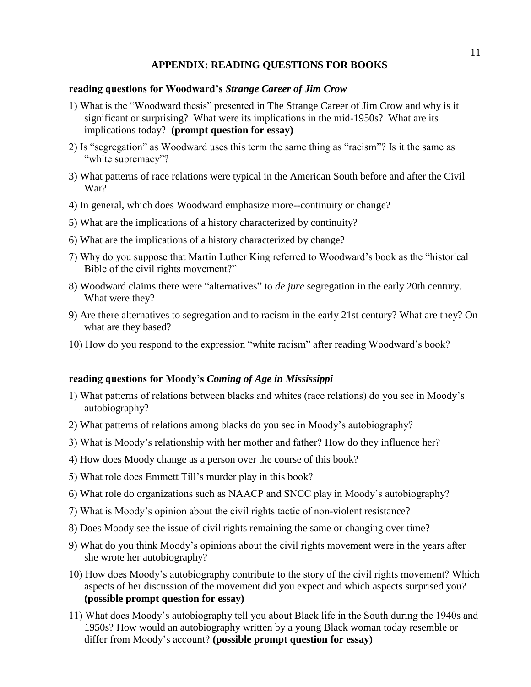#### **APPENDIX: READING QUESTIONS FOR BOOKS**

#### **reading questions for Woodward's** *Strange Career of Jim Crow*

- 1) What is the "Woodward thesis" presented in The Strange Career of Jim Crow and why is it significant or surprising? What were its implications in the mid-1950s? What are its implications today? **(prompt question for essay)**
- 2) Is "segregation" as Woodward uses this term the same thing as "racism"? Is it the same as "white supremacy"?
- 3) What patterns of race relations were typical in the American South before and after the Civil War?
- 4) In general, which does Woodward emphasize more--continuity or change?
- 5) What are the implications of a history characterized by continuity?
- 6) What are the implications of a history characterized by change?
- 7) Why do you suppose that Martin Luther King referred to Woodward's book as the "historical Bible of the civil rights movement?"
- 8) Woodward claims there were "alternatives" to *de jure* segregation in the early 20th century. What were they?
- 9) Are there alternatives to segregation and to racism in the early 21st century? What are they? On what are they based?
- 10) How do you respond to the expression "white racism" after reading Woodward's book?

#### **reading questions for Moody's** *Coming of Age in Mississippi*

- 1) What patterns of relations between blacks and whites (race relations) do you see in Moody's autobiography?
- 2) What patterns of relations among blacks do you see in Moody's autobiography?
- 3) What is Moody's relationship with her mother and father? How do they influence her?
- 4) How does Moody change as a person over the course of this book?
- 5) What role does Emmett Till's murder play in this book?
- 6) What role do organizations such as NAACP and SNCC play in Moody's autobiography?
- 7) What is Moody's opinion about the civil rights tactic of non-violent resistance?
- 8) Does Moody see the issue of civil rights remaining the same or changing over time?
- 9) What do you think Moody's opinions about the civil rights movement were in the years after she wrote her autobiography?
- 10) How does Moody's autobiography contribute to the story of the civil rights movement? Which aspects of her discussion of the movement did you expect and which aspects surprised you? **(possible prompt question for essay)**
- 11) What does Moody's autobiography tell you about Black life in the South during the 1940s and 1950s? How would an autobiography written by a young Black woman today resemble or differ from Moody's account? **(possible prompt question for essay)**